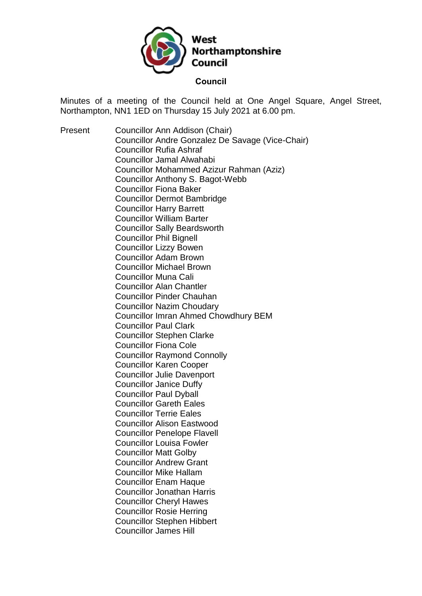

Minutes of a meeting of the Council held at One Angel Square, Angel Street, Northampton, NN1 1ED on Thursday 15 July 2021 at 6.00 pm.

Present Councillor Ann Addison (Chair) Councillor Andre Gonzalez De Savage (Vice-Chair) Councillor Rufia Ashraf Councillor Jamal Alwahabi Councillor Mohammed Azizur Rahman (Aziz) Councillor Anthony S. Bagot-Webb Councillor Fiona Baker Councillor Dermot Bambridge Councillor Harry Barrett Councillor William Barter Councillor Sally Beardsworth Councillor Phil Bignell Councillor Lizzy Bowen Councillor Adam Brown Councillor Michael Brown Councillor Muna Cali Councillor Alan Chantler Councillor Pinder Chauhan Councillor Nazim Choudary Councillor Imran Ahmed Chowdhury BEM Councillor Paul Clark Councillor Stephen Clarke Councillor Fiona Cole Councillor Raymond Connolly Councillor Karen Cooper Councillor Julie Davenport Councillor Janice Duffy Councillor Paul Dyball Councillor Gareth Eales Councillor Terrie Eales Councillor Alison Eastwood Councillor Penelope Flavell Councillor Louisa Fowler Councillor Matt Golby Councillor Andrew Grant Councillor Mike Hallam Councillor Enam Haque Councillor Jonathan Harris Councillor Cheryl Hawes Councillor Rosie Herring Councillor Stephen Hibbert Councillor James Hill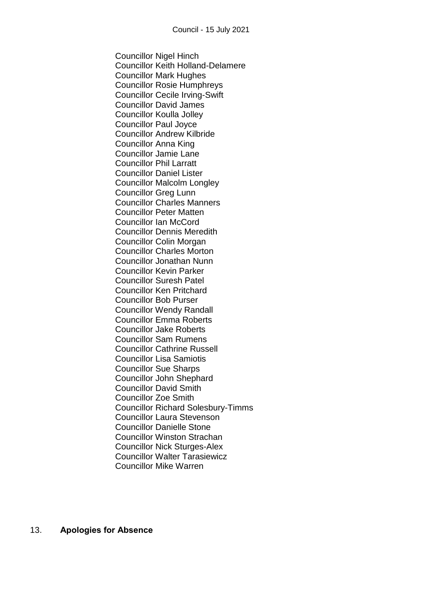Councillor Nigel Hinch Councillor Keith Holland-Delamere Councillor Mark Hughes Councillor Rosie Humphreys Councillor Cecile Irving-Swift Councillor David James Councillor Koulla Jolley Councillor Paul Joyce Councillor Andrew Kilbride Councillor Anna King Councillor Jamie Lane Councillor Phil Larratt Councillor Daniel Lister Councillor Malcolm Longley Councillor Greg Lunn Councillor Charles Manners Councillor Peter Matten Councillor Ian McCord Councillor Dennis Meredith Councillor Colin Morgan Councillor Charles Morton Councillor Jonathan Nunn Councillor Kevin Parker Councillor Suresh Patel Councillor Ken Pritchard Councillor Bob Purser Councillor Wendy Randall Councillor Emma Roberts Councillor Jake Roberts Councillor Sam Rumens Councillor Cathrine Russell Councillor Lisa Samiotis Councillor Sue Sharps Councillor John Shephard Councillor David Smith Councillor Zoe Smith Councillor Richard Solesbury-Timms Councillor Laura Stevenson Councillor Danielle Stone Councillor Winston Strachan Councillor Nick Sturges-Alex Councillor Walter Tarasiewicz Councillor Mike Warren

13. **Apologies for Absence**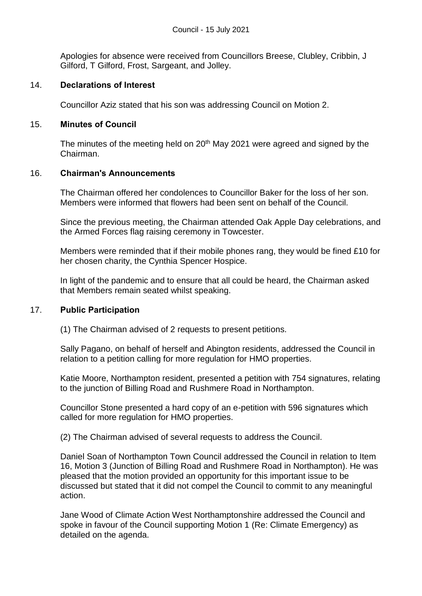Apologies for absence were received from Councillors Breese, Clubley, Cribbin, J Gilford, T Gilford, Frost, Sargeant, and Jolley.

### 14. **Declarations of Interest**

Councillor Aziz stated that his son was addressing Council on Motion 2.

### 15. **Minutes of Council**

The minutes of the meeting held on  $20<sup>th</sup>$  May 2021 were agreed and signed by the Chairman.

### 16. **Chairman's Announcements**

The Chairman offered her condolences to Councillor Baker for the loss of her son. Members were informed that flowers had been sent on behalf of the Council.

Since the previous meeting, the Chairman attended Oak Apple Day celebrations, and the Armed Forces flag raising ceremony in Towcester.

Members were reminded that if their mobile phones rang, they would be fined £10 for her chosen charity, the Cynthia Spencer Hospice.

In light of the pandemic and to ensure that all could be heard, the Chairman asked that Members remain seated whilst speaking.

#### 17. **Public Participation**

(1) The Chairman advised of 2 requests to present petitions.

Sally Pagano, on behalf of herself and Abington residents, addressed the Council in relation to a petition calling for more regulation for HMO properties.

Katie Moore, Northampton resident, presented a petition with 754 signatures, relating to the junction of Billing Road and Rushmere Road in Northampton.

Councillor Stone presented a hard copy of an e-petition with 596 signatures which called for more regulation for HMO properties.

(2) The Chairman advised of several requests to address the Council.

Daniel Soan of Northampton Town Council addressed the Council in relation to Item 16, Motion 3 (Junction of Billing Road and Rushmere Road in Northampton). He was pleased that the motion provided an opportunity for this important issue to be discussed but stated that it did not compel the Council to commit to any meaningful action.

Jane Wood of Climate Action West Northamptonshire addressed the Council and spoke in favour of the Council supporting Motion 1 (Re: Climate Emergency) as detailed on the agenda.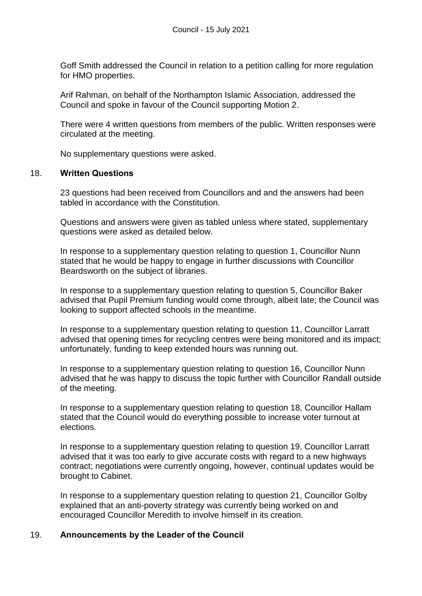Goff Smith addressed the Council in relation to a petition calling for more regulation for HMO properties.

Arif Rahman, on behalf of the Northampton Islamic Association, addressed the Council and spoke in favour of the Council supporting Motion 2.

There were 4 written questions from members of the public. Written responses were circulated at the meeting.

No supplementary questions were asked.

#### 18. **Written Questions**

23 questions had been received from Councillors and and the answers had been tabled in accordance with the Constitution.

Questions and answers were given as tabled unless where stated, supplementary questions were asked as detailed below.

In response to a supplementary question relating to question 1, Councillor Nunn stated that he would be happy to engage in further discussions with Councillor Beardsworth on the subject of libraries.

In response to a supplementary question relating to question 5, Councillor Baker advised that Pupil Premium funding would come through, albeit late; the Council was looking to support affected schools in the meantime.

In response to a supplementary question relating to question 11, Councillor Larratt advised that opening times for recycling centres were being monitored and its impact; unfortunately, funding to keep extended hours was running out.

In response to a supplementary question relating to question 16, Councillor Nunn advised that he was happy to discuss the topic further with Councillor Randall outside of the meeting.

In response to a supplementary question relating to question 18, Councillor Hallam stated that the Council would do everything possible to increase voter turnout at elections.

In response to a supplementary question relating to question 19, Councillor Larratt advised that it was too early to give accurate costs with regard to a new highways contract; negotiations were currently ongoing, however, continual updates would be brought to Cabinet.

In response to a supplementary question relating to question 21, Councillor Golby explained that an anti-poverty strategy was currently being worked on and encouraged Councillor Meredith to involve himself in its creation.

#### 19. **Announcements by the Leader of the Council**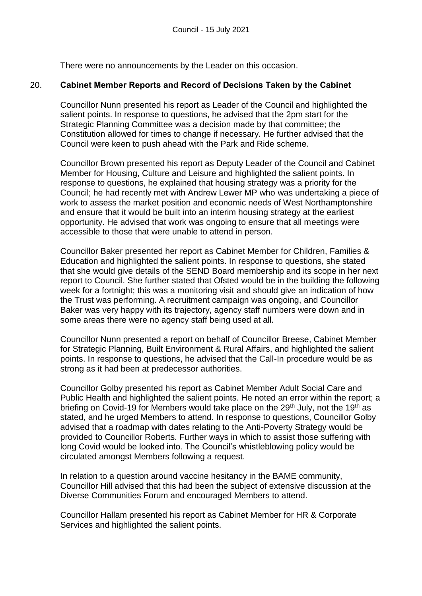There were no announcements by the Leader on this occasion.

### 20. **Cabinet Member Reports and Record of Decisions Taken by the Cabinet**

Councillor Nunn presented his report as Leader of the Council and highlighted the salient points. In response to questions, he advised that the 2pm start for the Strategic Planning Committee was a decision made by that committee; the Constitution allowed for times to change if necessary. He further advised that the Council were keen to push ahead with the Park and Ride scheme.

Councillor Brown presented his report as Deputy Leader of the Council and Cabinet Member for Housing, Culture and Leisure and highlighted the salient points. In response to questions, he explained that housing strategy was a priority for the Council; he had recently met with Andrew Lewer MP who was undertaking a piece of work to assess the market position and economic needs of West Northamptonshire and ensure that it would be built into an interim housing strategy at the earliest opportunity. He advised that work was ongoing to ensure that all meetings were accessible to those that were unable to attend in person.

Councillor Baker presented her report as Cabinet Member for Children, Families & Education and highlighted the salient points. In response to questions, she stated that she would give details of the SEND Board membership and its scope in her next report to Council. She further stated that Ofsted would be in the building the following week for a fortnight; this was a monitoring visit and should give an indication of how the Trust was performing. A recruitment campaign was ongoing, and Councillor Baker was very happy with its trajectory, agency staff numbers were down and in some areas there were no agency staff being used at all.

Councillor Nunn presented a report on behalf of Councillor Breese, Cabinet Member for Strategic Planning, Built Environment & Rural Affairs, and highlighted the salient points. In response to questions, he advised that the Call-In procedure would be as strong as it had been at predecessor authorities.

Councillor Golby presented his report as Cabinet Member Adult Social Care and Public Health and highlighted the salient points. He noted an error within the report; a briefing on Covid-19 for Members would take place on the  $29<sup>th</sup>$  July, not the 19<sup>th</sup> as stated, and he urged Members to attend. In response to questions, Councillor Golby advised that a roadmap with dates relating to the Anti-Poverty Strategy would be provided to Councillor Roberts. Further ways in which to assist those suffering with long Covid would be looked into. The Council's whistleblowing policy would be circulated amongst Members following a request.

In relation to a question around vaccine hesitancy in the BAME community, Councillor Hill advised that this had been the subject of extensive discussion at the Diverse Communities Forum and encouraged Members to attend.

Councillor Hallam presented his report as Cabinet Member for HR & Corporate Services and highlighted the salient points.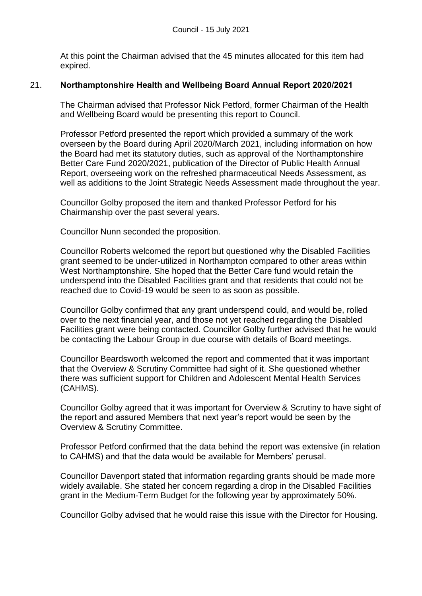At this point the Chairman advised that the 45 minutes allocated for this item had expired.

## 21. **Northamptonshire Health and Wellbeing Board Annual Report 2020/2021**

The Chairman advised that Professor Nick Petford, former Chairman of the Health and Wellbeing Board would be presenting this report to Council.

Professor Petford presented the report which provided a summary of the work overseen by the Board during April 2020/March 2021, including information on how the Board had met its statutory duties, such as approval of the Northamptonshire Better Care Fund 2020/2021, publication of the Director of Public Health Annual Report, overseeing work on the refreshed pharmaceutical Needs Assessment, as well as additions to the Joint Strategic Needs Assessment made throughout the year.

Councillor Golby proposed the item and thanked Professor Petford for his Chairmanship over the past several years.

Councillor Nunn seconded the proposition.

Councillor Roberts welcomed the report but questioned why the Disabled Facilities grant seemed to be under-utilized in Northampton compared to other areas within West Northamptonshire. She hoped that the Better Care fund would retain the underspend into the Disabled Facilities grant and that residents that could not be reached due to Covid-19 would be seen to as soon as possible.

Councillor Golby confirmed that any grant underspend could, and would be, rolled over to the next financial year, and those not yet reached regarding the Disabled Facilities grant were being contacted. Councillor Golby further advised that he would be contacting the Labour Group in due course with details of Board meetings.

Councillor Beardsworth welcomed the report and commented that it was important that the Overview & Scrutiny Committee had sight of it. She questioned whether there was sufficient support for Children and Adolescent Mental Health Services (CAHMS).

Councillor Golby agreed that it was important for Overview & Scrutiny to have sight of the report and assured Members that next year's report would be seen by the Overview & Scrutiny Committee.

Professor Petford confirmed that the data behind the report was extensive (in relation to CAHMS) and that the data would be available for Members' perusal.

Councillor Davenport stated that information regarding grants should be made more widely available. She stated her concern regarding a drop in the Disabled Facilities grant in the Medium-Term Budget for the following year by approximately 50%.

Councillor Golby advised that he would raise this issue with the Director for Housing.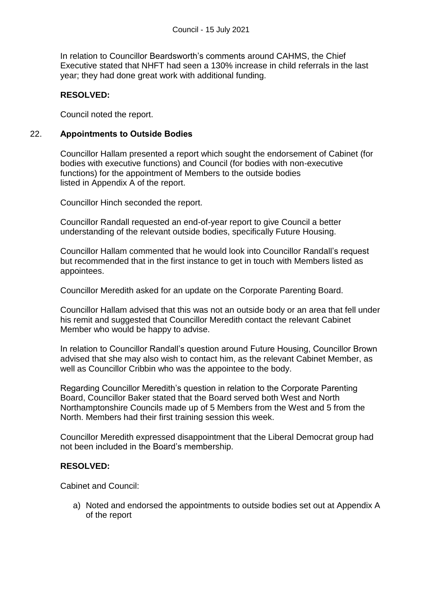In relation to Councillor Beardsworth's comments around CAHMS, the Chief Executive stated that NHFT had seen a 130% increase in child referrals in the last year; they had done great work with additional funding.

# **RESOLVED:**

Council noted the report.

### 22. **Appointments to Outside Bodies**

Councillor Hallam presented a report which sought the endorsement of Cabinet (for bodies with executive functions) and Council (for bodies with non-executive functions) for the appointment of Members to the outside bodies listed in Appendix A of the report.

Councillor Hinch seconded the report.

Councillor Randall requested an end-of-year report to give Council a better understanding of the relevant outside bodies, specifically Future Housing.

Councillor Hallam commented that he would look into Councillor Randall's request but recommended that in the first instance to get in touch with Members listed as appointees.

Councillor Meredith asked for an update on the Corporate Parenting Board.

Councillor Hallam advised that this was not an outside body or an area that fell under his remit and suggested that Councillor Meredith contact the relevant Cabinet Member who would be happy to advise.

In relation to Councillor Randall's question around Future Housing, Councillor Brown advised that she may also wish to contact him, as the relevant Cabinet Member, as well as Councillor Cribbin who was the appointee to the body.

Regarding Councillor Meredith's question in relation to the Corporate Parenting Board, Councillor Baker stated that the Board served both West and North Northamptonshire Councils made up of 5 Members from the West and 5 from the North. Members had their first training session this week.

Councillor Meredith expressed disappointment that the Liberal Democrat group had not been included in the Board's membership.

## **RESOLVED:**

Cabinet and Council:

a) Noted and endorsed the appointments to outside bodies set out at Appendix A of the report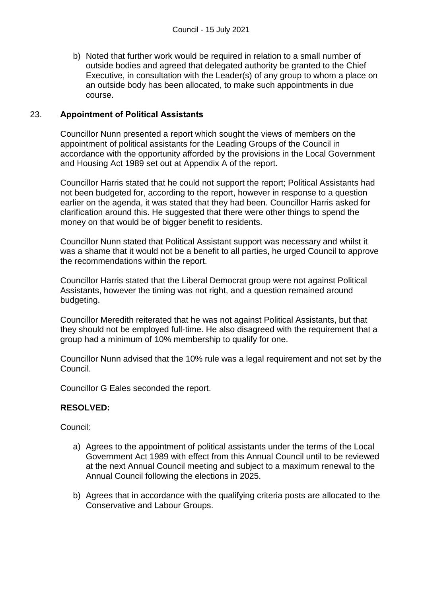b) Noted that further work would be required in relation to a small number of outside bodies and agreed that delegated authority be granted to the Chief Executive, in consultation with the Leader(s) of any group to whom a place on an outside body has been allocated, to make such appointments in due course.

## 23. **Appointment of Political Assistants**

Councillor Nunn presented a report which sought the views of members on the appointment of political assistants for the Leading Groups of the Council in accordance with the opportunity afforded by the provisions in the Local Government and Housing Act 1989 set out at Appendix A of the report.

Councillor Harris stated that he could not support the report; Political Assistants had not been budgeted for, according to the report, however in response to a question earlier on the agenda, it was stated that they had been. Councillor Harris asked for clarification around this. He suggested that there were other things to spend the money on that would be of bigger benefit to residents.

Councillor Nunn stated that Political Assistant support was necessary and whilst it was a shame that it would not be a benefit to all parties, he urged Council to approve the recommendations within the report.

Councillor Harris stated that the Liberal Democrat group were not against Political Assistants, however the timing was not right, and a question remained around budgeting.

Councillor Meredith reiterated that he was not against Political Assistants, but that they should not be employed full-time. He also disagreed with the requirement that a group had a minimum of 10% membership to qualify for one.

Councillor Nunn advised that the 10% rule was a legal requirement and not set by the Council.

Councillor G Eales seconded the report.

#### **RESOLVED:**

Council:

- a) Agrees to the appointment of political assistants under the terms of the Local Government Act 1989 with effect from this Annual Council until to be reviewed at the next Annual Council meeting and subject to a maximum renewal to the Annual Council following the elections in 2025.
- b) Agrees that in accordance with the qualifying criteria posts are allocated to the Conservative and Labour Groups.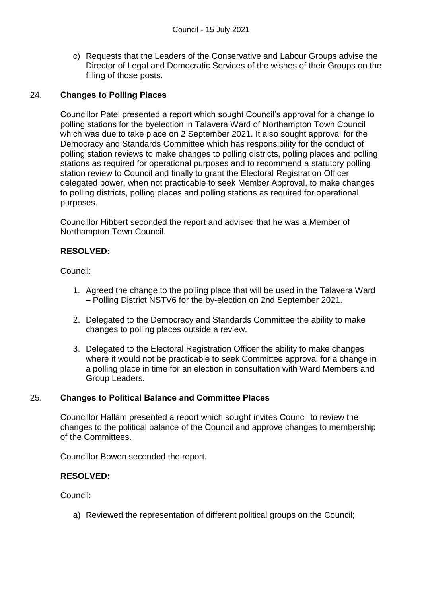c) Requests that the Leaders of the Conservative and Labour Groups advise the Director of Legal and Democratic Services of the wishes of their Groups on the filling of those posts.

# 24. **Changes to Polling Places**

Councillor Patel presented a report which sought Council's approval for a change to polling stations for the byelection in Talavera Ward of Northampton Town Council which was due to take place on 2 September 2021. It also sought approval for the Democracy and Standards Committee which has responsibility for the conduct of polling station reviews to make changes to polling districts, polling places and polling stations as required for operational purposes and to recommend a statutory polling station review to Council and finally to grant the Electoral Registration Officer delegated power, when not practicable to seek Member Approval, to make changes to polling districts, polling places and polling stations as required for operational purposes.

Councillor Hibbert seconded the report and advised that he was a Member of Northampton Town Council.

# **RESOLVED:**

Council:

- 1. Agreed the change to the polling place that will be used in the Talavera Ward – Polling District NSTV6 for the by-election on 2nd September 2021.
- 2. Delegated to the Democracy and Standards Committee the ability to make changes to polling places outside a review.
- 3. Delegated to the Electoral Registration Officer the ability to make changes where it would not be practicable to seek Committee approval for a change in a polling place in time for an election in consultation with Ward Members and Group Leaders.

## 25. **Changes to Political Balance and Committee Places**

Councillor Hallam presented a report which sought invites Council to review the changes to the political balance of the Council and approve changes to membership of the Committees.

Councillor Bowen seconded the report.

## **RESOLVED:**

Council:

a) Reviewed the representation of different political groups on the Council;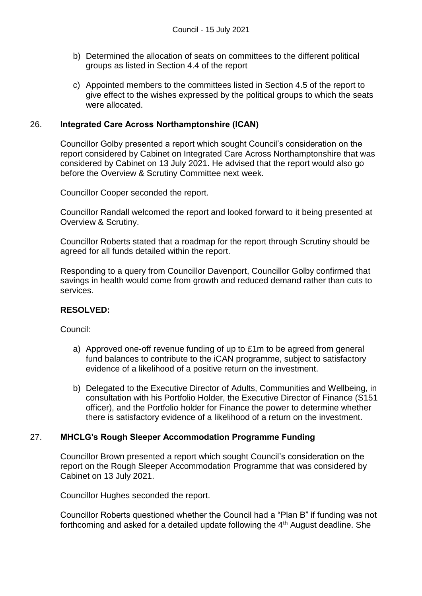- b) Determined the allocation of seats on committees to the different political groups as listed in Section 4.4 of the report
- c) Appointed members to the committees listed in Section 4.5 of the report to give effect to the wishes expressed by the political groups to which the seats were allocated.

### 26. **Integrated Care Across Northamptonshire (ICAN)**

Councillor Golby presented a report which sought Council's consideration on the report considered by Cabinet on Integrated Care Across Northamptonshire that was considered by Cabinet on 13 July 2021. He advised that the report would also go before the Overview & Scrutiny Committee next week.

Councillor Cooper seconded the report.

Councillor Randall welcomed the report and looked forward to it being presented at Overview & Scrutiny.

Councillor Roberts stated that a roadmap for the report through Scrutiny should be agreed for all funds detailed within the report.

Responding to a query from Councillor Davenport, Councillor Golby confirmed that savings in health would come from growth and reduced demand rather than cuts to services.

#### **RESOLVED:**

Council:

- a) Approved one-off revenue funding of up to £1m to be agreed from general fund balances to contribute to the iCAN programme, subject to satisfactory evidence of a likelihood of a positive return on the investment.
- b) Delegated to the Executive Director of Adults, Communities and Wellbeing, in consultation with his Portfolio Holder, the Executive Director of Finance (S151 officer), and the Portfolio holder for Finance the power to determine whether there is satisfactory evidence of a likelihood of a return on the investment.

## 27. **MHCLG's Rough Sleeper Accommodation Programme Funding**

Councillor Brown presented a report which sought Council's consideration on the report on the Rough Sleeper Accommodation Programme that was considered by Cabinet on 13 July 2021.

Councillor Hughes seconded the report.

Councillor Roberts questioned whether the Council had a "Plan B" if funding was not forthcoming and asked for a detailed update following the 4<sup>th</sup> August deadline. She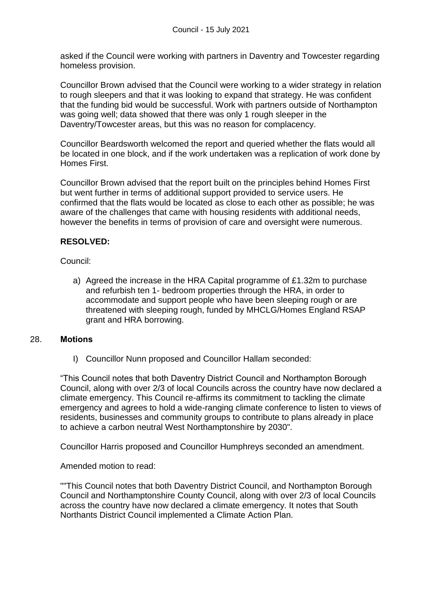asked if the Council were working with partners in Daventry and Towcester regarding homeless provision.

Councillor Brown advised that the Council were working to a wider strategy in relation to rough sleepers and that it was looking to expand that strategy. He was confident that the funding bid would be successful. Work with partners outside of Northampton was going well; data showed that there was only 1 rough sleeper in the Daventry/Towcester areas, but this was no reason for complacency.

Councillor Beardsworth welcomed the report and queried whether the flats would all be located in one block, and if the work undertaken was a replication of work done by Homes First.

Councillor Brown advised that the report built on the principles behind Homes First but went further in terms of additional support provided to service users. He confirmed that the flats would be located as close to each other as possible; he was aware of the challenges that came with housing residents with additional needs, however the benefits in terms of provision of care and oversight were numerous.

### **RESOLVED:**

Council:

a) Agreed the increase in the HRA Capital programme of £1.32m to purchase and refurbish ten 1- bedroom properties through the HRA, in order to accommodate and support people who have been sleeping rough or are threatened with sleeping rough, funded by MHCLG/Homes England RSAP grant and HRA borrowing.

#### 28. **Motions**

I) Councillor Nunn proposed and Councillor Hallam seconded:

"This Council notes that both Daventry District Council and Northampton Borough Council, along with over 2/3 of local Councils across the country have now declared a climate emergency. This Council re-affirms its commitment to tackling the climate emergency and agrees to hold a wide-ranging climate conference to listen to views of residents, businesses and community groups to contribute to plans already in place to achieve a carbon neutral West Northamptonshire by 2030".

Councillor Harris proposed and Councillor Humphreys seconded an amendment.

Amended motion to read:

""This Council notes that both Daventry District Council, and Northampton Borough Council and Northamptonshire County Council, along with over 2/3 of local Councils across the country have now declared a climate emergency. It notes that South Northants District Council implemented a Climate Action Plan.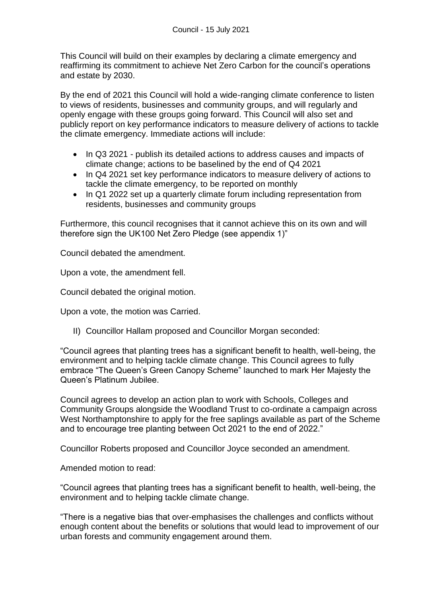This Council will build on their examples by declaring a climate emergency and reaffirming its commitment to achieve Net Zero Carbon for the council's operations and estate by 2030.

By the end of 2021 this Council will hold a wide-ranging climate conference to listen to views of residents, businesses and community groups, and will regularly and openly engage with these groups going forward. This Council will also set and publicly report on key performance indicators to measure delivery of actions to tackle the climate emergency. Immediate actions will include:

- In Q3 2021 publish its detailed actions to address causes and impacts of climate change; actions to be baselined by the end of Q4 2021
- In Q4 2021 set key performance indicators to measure delivery of actions to tackle the climate emergency, to be reported on monthly
- In Q1 2022 set up a quarterly climate forum including representation from residents, businesses and community groups

Furthermore, this council recognises that it cannot achieve this on its own and will therefore sign the UK100 Net Zero Pledge (see appendix 1)"

Council debated the amendment.

Upon a vote, the amendment fell.

Council debated the original motion.

Upon a vote, the motion was Carried.

II) Councillor Hallam proposed and Councillor Morgan seconded:

"Council agrees that planting trees has a significant benefit to health, well-being, the environment and to helping tackle climate change. This Council agrees to fully embrace "The Queen's Green Canopy Scheme" launched to mark Her Majesty the Queen's Platinum Jubilee.

Council agrees to develop an action plan to work with Schools, Colleges and Community Groups alongside the Woodland Trust to co-ordinate a campaign across West Northamptonshire to apply for the free saplings available as part of the Scheme and to encourage tree planting between Oct 2021 to the end of 2022."

Councillor Roberts proposed and Councillor Joyce seconded an amendment.

Amended motion to read:

"Council agrees that planting trees has a significant benefit to health, well-being, the environment and to helping tackle climate change.

"There is a negative bias that over-emphasises the challenges and conflicts without enough content about the benefits or solutions that would lead to improvement of our urban forests and community engagement around them.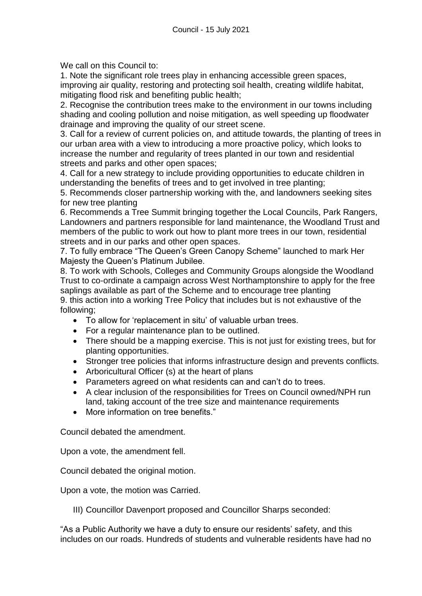We call on this Council to:

1. Note the significant role trees play in enhancing accessible green spaces, improving air quality, restoring and protecting soil health, creating wildlife habitat, mitigating flood risk and benefiting public health;

2. Recognise the contribution trees make to the environment in our towns including shading and cooling pollution and noise mitigation, as well speeding up floodwater drainage and improving the quality of our street scene.

3. Call for a review of current policies on, and attitude towards, the planting of trees in our urban area with a view to introducing a more proactive policy, which looks to increase the number and regularity of trees planted in our town and residential streets and parks and other open spaces;

4. Call for a new strategy to include providing opportunities to educate children in understanding the benefits of trees and to get involved in tree planting;

5. Recommends closer partnership working with the, and landowners seeking sites for new tree planting

6. Recommends a Tree Summit bringing together the Local Councils, Park Rangers, Landowners and partners responsible for land maintenance, the Woodland Trust and members of the public to work out how to plant more trees in our town, residential streets and in our parks and other open spaces.

7. To fully embrace "The Queen's Green Canopy Scheme" launched to mark Her Majesty the Queen's Platinum Jubilee.

8. To work with Schools, Colleges and Community Groups alongside the Woodland Trust to co-ordinate a campaign across West Northamptonshire to apply for the free saplings available as part of the Scheme and to encourage tree planting 9. this action into a working Tree Policy that includes but is not exhaustive of the following;

- To allow for 'replacement in situ' of valuable urban trees.
- For a regular maintenance plan to be outlined.
- There should be a mapping exercise. This is not just for existing trees, but for planting opportunities.
- Stronger tree policies that informs infrastructure design and prevents conflicts.
- Arboricultural Officer (s) at the heart of plans
- Parameters agreed on what residents can and can't do to trees.
- A clear inclusion of the responsibilities for Trees on Council owned/NPH run land, taking account of the tree size and maintenance requirements
- More information on tree benefits."

Council debated the amendment.

Upon a vote, the amendment fell.

Council debated the original motion.

Upon a vote, the motion was Carried.

III) Councillor Davenport proposed and Councillor Sharps seconded:

"As a Public Authority we have a duty to ensure our residents' safety, and this includes on our roads. Hundreds of students and vulnerable residents have had no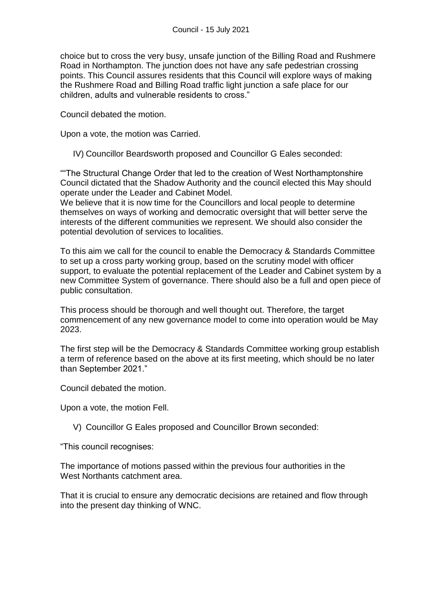choice but to cross the very busy, unsafe junction of the Billing Road and Rushmere Road in Northampton. The junction does not have any safe pedestrian crossing points. This Council assures residents that this Council will explore ways of making the Rushmere Road and Billing Road traffic light junction a safe place for our children, adults and vulnerable residents to cross."

Council debated the motion.

Upon a vote, the motion was Carried.

IV) Councillor Beardsworth proposed and Councillor G Eales seconded:

""The Structural Change Order that led to the creation of West Northamptonshire Council dictated that the Shadow Authority and the council elected this May should operate under the Leader and Cabinet Model.

We believe that it is now time for the Councillors and local people to determine themselves on ways of working and democratic oversight that will better serve the interests of the different communities we represent. We should also consider the potential devolution of services to localities.

To this aim we call for the council to enable the Democracy & Standards Committee to set up a cross party working group, based on the scrutiny model with officer support, to evaluate the potential replacement of the Leader and Cabinet system by a new Committee System of governance. There should also be a full and open piece of public consultation.

This process should be thorough and well thought out. Therefore, the target commencement of any new governance model to come into operation would be May 2023.

The first step will be the Democracy & Standards Committee working group establish a term of reference based on the above at its first meeting, which should be no later than September 2021."

Council debated the motion.

Upon a vote, the motion Fell.

V) Councillor G Eales proposed and Councillor Brown seconded:

"This council recognises:

The importance of motions passed within the previous four authorities in the West Northants catchment area.

That it is crucial to ensure any democratic decisions are retained and flow through into the present day thinking of WNC.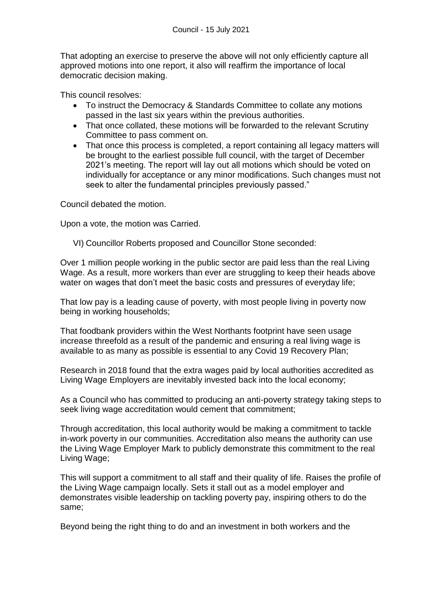That adopting an exercise to preserve the above will not only efficiently capture all approved motions into one report, it also will reaffirm the importance of local democratic decision making.

This council resolves:

- To instruct the Democracy & Standards Committee to collate any motions passed in the last six years within the previous authorities.
- That once collated, these motions will be forwarded to the relevant Scrutiny Committee to pass comment on.
- That once this process is completed, a report containing all legacy matters will be brought to the earliest possible full council, with the target of December 2021's meeting. The report will lay out all motions which should be voted on individually for acceptance or any minor modifications. Such changes must not seek to alter the fundamental principles previously passed."

Council debated the motion.

Upon a vote, the motion was Carried.

VI) Councillor Roberts proposed and Councillor Stone seconded:

Over 1 million people working in the public sector are paid less than the real Living Wage. As a result, more workers than ever are struggling to keep their heads above water on wages that don't meet the basic costs and pressures of everyday life;

That low pay is a leading cause of poverty, with most people living in poverty now being in working households;

That foodbank providers within the West Northants footprint have seen usage increase threefold as a result of the pandemic and ensuring a real living wage is available to as many as possible is essential to any Covid 19 Recovery Plan;

Research in 2018 found that the extra wages paid by local authorities accredited as Living Wage Employers are inevitably invested back into the local economy;

As a Council who has committed to producing an anti-poverty strategy taking steps to seek living wage accreditation would cement that commitment;

Through accreditation, this local authority would be making a commitment to tackle in-work poverty in our communities. Accreditation also means the authority can use the Living Wage Employer Mark to publicly demonstrate this commitment to the real Living Wage;

This will support a commitment to all staff and their quality of life. Raises the profile of the Living Wage campaign locally. Sets it stall out as a model employer and demonstrates visible leadership on tackling poverty pay, inspiring others to do the same;

Beyond being the right thing to do and an investment in both workers and the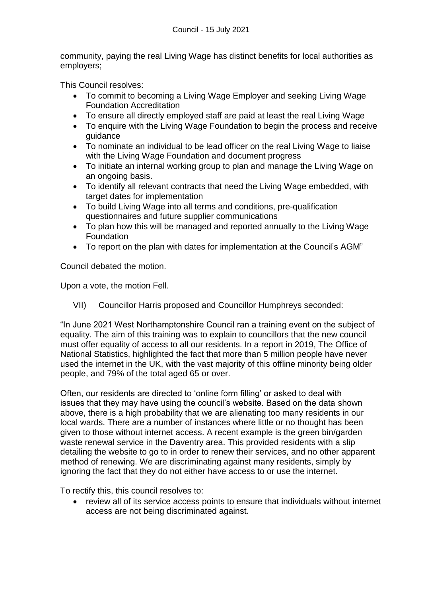community, paying the real Living Wage has distinct benefits for local authorities as employers;

This Council resolves:

- To commit to becoming a Living Wage Employer and seeking Living Wage Foundation Accreditation
- To ensure all directly employed staff are paid at least the real Living Wage
- To enquire with the Living Wage Foundation to begin the process and receive guidance
- To nominate an individual to be lead officer on the real Living Wage to liaise with the Living Wage Foundation and document progress
- To initiate an internal working group to plan and manage the Living Wage on an ongoing basis.
- To identify all relevant contracts that need the Living Wage embedded, with target dates for implementation
- To build Living Wage into all terms and conditions, pre-qualification questionnaires and future supplier communications
- To plan how this will be managed and reported annually to the Living Wage **Foundation**
- To report on the plan with dates for implementation at the Council's AGM"

Council debated the motion.

Upon a vote, the motion Fell.

VII) Councillor Harris proposed and Councillor Humphreys seconded:

"In June 2021 West Northamptonshire Council ran a training event on the subject of equality. The aim of this training was to explain to councillors that the new council must offer equality of access to all our residents. In a report in 2019, The Office of National Statistics, highlighted the fact that more than 5 million people have never used the internet in the UK, with the vast majority of this offline minority being older people, and 79% of the total aged 65 or over.

Often, our residents are directed to 'online form filling' or asked to deal with issues that they may have using the council's website. Based on the data shown above, there is a high probability that we are alienating too many residents in our local wards. There are a number of instances where little or no thought has been given to those without internet access. A recent example is the green bin/garden waste renewal service in the Daventry area. This provided residents with a slip detailing the website to go to in order to renew their services, and no other apparent method of renewing. We are discriminating against many residents, simply by ignoring the fact that they do not either have access to or use the internet.

To rectify this, this council resolves to:

 review all of its service access points to ensure that individuals without internet access are not being discriminated against.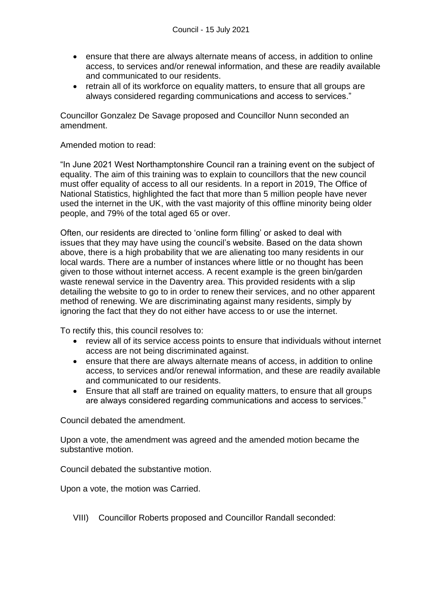- ensure that there are always alternate means of access, in addition to online access, to services and/or renewal information, and these are readily available and communicated to our residents.
- retrain all of its workforce on equality matters, to ensure that all groups are always considered regarding communications and access to services."

Councillor Gonzalez De Savage proposed and Councillor Nunn seconded an amendment.

Amended motion to read:

"In June 2021 West Northamptonshire Council ran a training event on the subject of equality. The aim of this training was to explain to councillors that the new council must offer equality of access to all our residents. In a report in 2019, The Office of National Statistics, highlighted the fact that more than 5 million people have never used the internet in the UK, with the vast majority of this offline minority being older people, and 79% of the total aged 65 or over.

Often, our residents are directed to 'online form filling' or asked to deal with issues that they may have using the council's website. Based on the data shown above, there is a high probability that we are alienating too many residents in our local wards. There are a number of instances where little or no thought has been given to those without internet access. A recent example is the green bin/garden waste renewal service in the Daventry area. This provided residents with a slip detailing the website to go to in order to renew their services, and no other apparent method of renewing. We are discriminating against many residents, simply by ignoring the fact that they do not either have access to or use the internet.

To rectify this, this council resolves to:

- review all of its service access points to ensure that individuals without internet access are not being discriminated against.
- ensure that there are always alternate means of access, in addition to online access, to services and/or renewal information, and these are readily available and communicated to our residents.
- Ensure that all staff are trained on equality matters, to ensure that all groups are always considered regarding communications and access to services."

Council debated the amendment.

Upon a vote, the amendment was agreed and the amended motion became the substantive motion.

Council debated the substantive motion.

Upon a vote, the motion was Carried.

VIII) Councillor Roberts proposed and Councillor Randall seconded: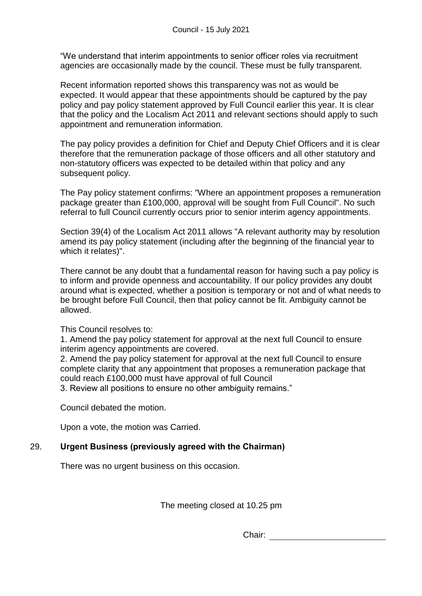"We understand that interim appointments to senior officer roles via recruitment agencies are occasionally made by the council. These must be fully transparent.

Recent information reported shows this transparency was not as would be expected. It would appear that these appointments should be captured by the pay policy and pay policy statement approved by Full Council earlier this year. It is clear that the policy and the Localism Act 2011 and relevant sections should apply to such appointment and remuneration information.

The pay policy provides a definition for Chief and Deputy Chief Officers and it is clear therefore that the remuneration package of those officers and all other statutory and non-statutory officers was expected to be detailed within that policy and any subsequent policy.

The Pay policy statement confirms: "Where an appointment proposes a remuneration package greater than £100,000, approval will be sought from Full Council". No such referral to full Council currently occurs prior to senior interim agency appointments.

Section 39(4) of the Localism Act 2011 allows "A relevant authority may by resolution amend its pay policy statement (including after the beginning of the financial year to which it relates)".

There cannot be any doubt that a fundamental reason for having such a pay policy is to inform and provide openness and accountability. If our policy provides any doubt around what is expected, whether a position is temporary or not and of what needs to be brought before Full Council, then that policy cannot be fit. Ambiguity cannot be allowed.

This Council resolves to:

1. Amend the pay policy statement for approval at the next full Council to ensure interim agency appointments are covered.

2. Amend the pay policy statement for approval at the next full Council to ensure complete clarity that any appointment that proposes a remuneration package that could reach £100,000 must have approval of full Council

3. Review all positions to ensure no other ambiguity remains."

Council debated the motion.

Upon a vote, the motion was Carried.

## 29. **Urgent Business (previously agreed with the Chairman)**

There was no urgent business on this occasion.

The meeting closed at 10.25 pm

Chair: <u>\_\_\_\_\_\_\_\_\_\_\_\_\_\_\_</u>